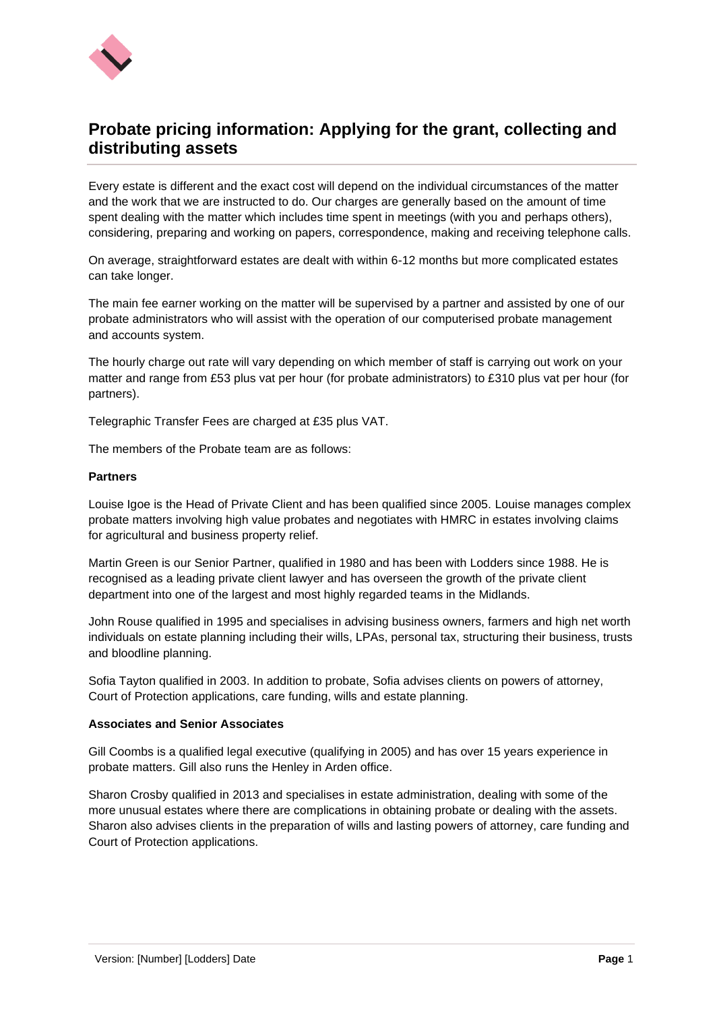

# **Probate pricing information: Applying for the grant, collecting and distributing assets**

Every estate is different and the exact cost will depend on the individual circumstances of the matter and the work that we are instructed to do. Our charges are generally based on the amount of time spent dealing with the matter which includes time spent in meetings (with you and perhaps others), considering, preparing and working on papers, correspondence, making and receiving telephone calls.

On average, straightforward estates are dealt with within 6-12 months but more complicated estates can take longer.

The main fee earner working on the matter will be supervised by a partner and assisted by one of our probate administrators who will assist with the operation of our computerised probate management and accounts system.

The hourly charge out rate will vary depending on which member of staff is carrying out work on your matter and range from £53 plus vat per hour (for probate administrators) to £310 plus vat per hour (for partners).

Telegraphic Transfer Fees are charged at £35 plus VAT.

The members of the Probate team are as follows:

# **Partners**

Louise Igoe is the Head of Private Client and has been qualified since 2005. Louise manages complex probate matters involving high value probates and negotiates with HMRC in estates involving claims for agricultural and business property relief.

Martin Green is our Senior Partner, qualified in 1980 and has been with Lodders since 1988. He is recognised as a leading private client lawyer and has overseen the growth of the private client department into one of the largest and most highly regarded teams in the Midlands.

John Rouse qualified in 1995 and specialises in advising business owners, farmers and high net worth individuals on estate planning including their wills, LPAs, personal tax, structuring their business, trusts and bloodline planning.

Sofia Tayton qualified in 2003. In addition to probate, Sofia advises clients on powers of attorney, Court of Protection applications, care funding, wills and estate planning.

### **Associates and Senior Associates**

Gill Coombs is a qualified legal executive (qualifying in 2005) and has over 15 years experience in probate matters. Gill also runs the Henley in Arden office.

Sharon Crosby qualified in 2013 and specialises in estate administration, dealing with some of the more unusual estates where there are complications in obtaining probate or dealing with the assets. Sharon also advises clients in the preparation of wills and lasting powers of attorney, care funding and Court of Protection applications.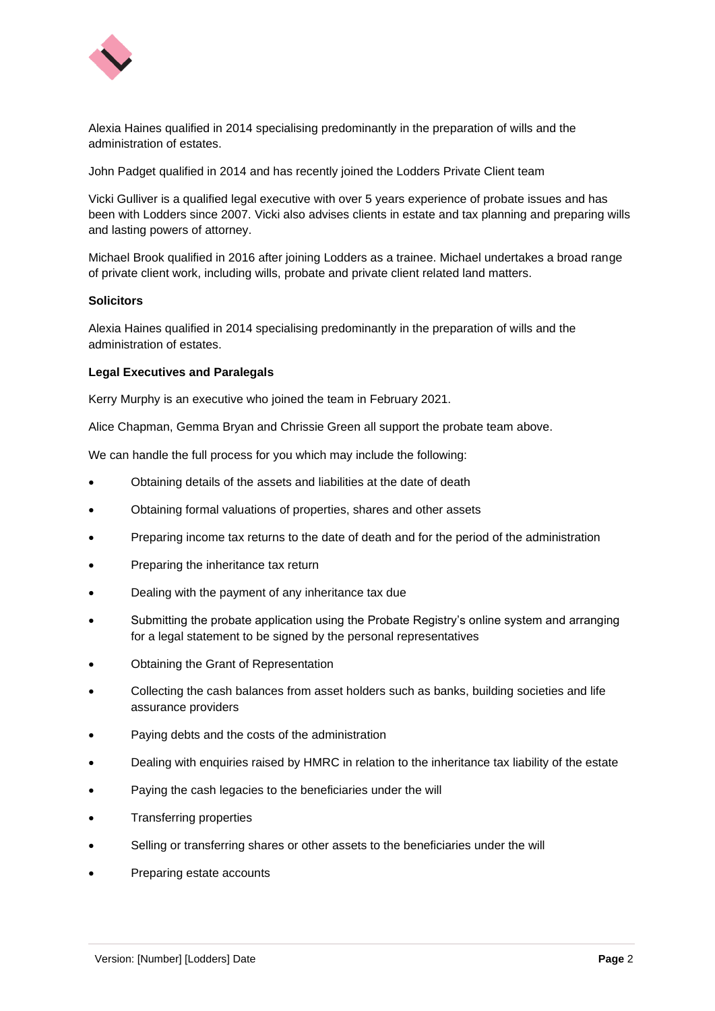

Alexia Haines qualified in 2014 specialising predominantly in the preparation of wills and the administration of estates.

John Padget qualified in 2014 and has recently joined the Lodders Private Client team

Vicki Gulliver is a qualified legal executive with over 5 years experience of probate issues and has been with Lodders since 2007. Vicki also advises clients in estate and tax planning and preparing wills and lasting powers of attorney.

Michael Brook qualified in 2016 after joining Lodders as a trainee. Michael undertakes a broad range of private client work, including wills, probate and private client related land matters.

# **Solicitors**

Alexia Haines qualified in 2014 specialising predominantly in the preparation of wills and the administration of estates.

# **Legal Executives and Paralegals**

Kerry Murphy is an executive who joined the team in February 2021.

Alice Chapman, Gemma Bryan and Chrissie Green all support the probate team above.

We can handle the full process for you which may include the following:

- Obtaining details of the assets and liabilities at the date of death
- Obtaining formal valuations of properties, shares and other assets
- Preparing income tax returns to the date of death and for the period of the administration
- Preparing the inheritance tax return
- Dealing with the payment of any inheritance tax due
- Submitting the probate application using the Probate Registry's online system and arranging for a legal statement to be signed by the personal representatives
- Obtaining the Grant of Representation
- Collecting the cash balances from asset holders such as banks, building societies and life assurance providers
- Paying debts and the costs of the administration
- Dealing with enquiries raised by HMRC in relation to the inheritance tax liability of the estate
- Paying the cash legacies to the beneficiaries under the will
- Transferring properties
- Selling or transferring shares or other assets to the beneficiaries under the will
- Preparing estate accounts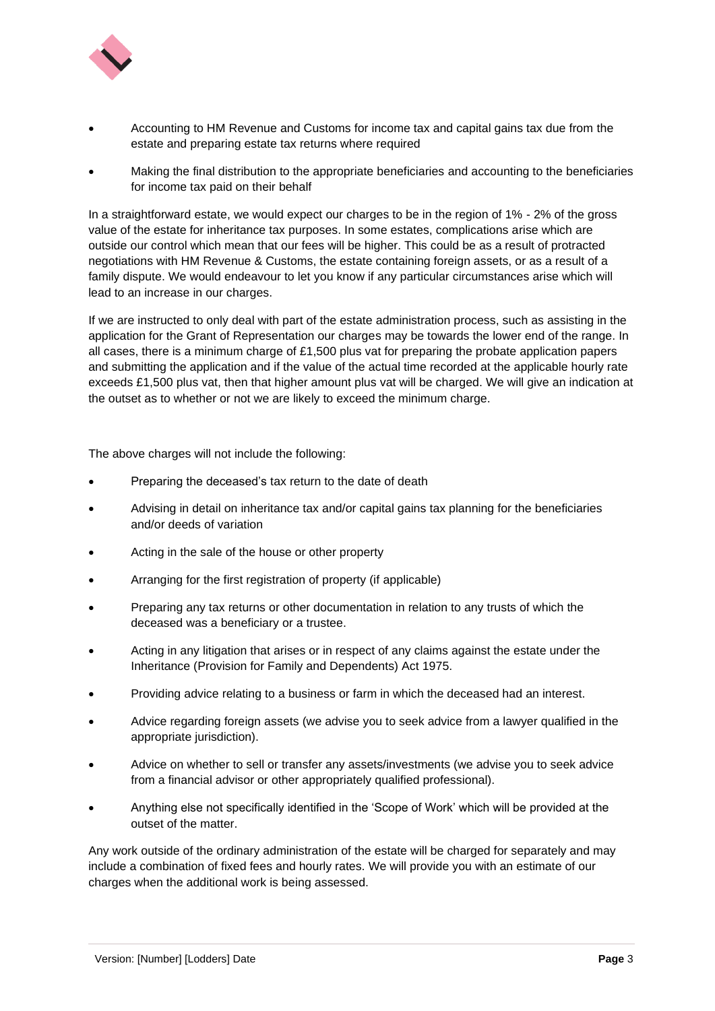

- Accounting to HM Revenue and Customs for income tax and capital gains tax due from the estate and preparing estate tax returns where required
- Making the final distribution to the appropriate beneficiaries and accounting to the beneficiaries for income tax paid on their behalf

In a straightforward estate, we would expect our charges to be in the region of 1% - 2% of the gross value of the estate for inheritance tax purposes. In some estates, complications arise which are outside our control which mean that our fees will be higher. This could be as a result of protracted negotiations with HM Revenue & Customs, the estate containing foreign assets, or as a result of a family dispute. We would endeavour to let you know if any particular circumstances arise which will lead to an increase in our charges.

If we are instructed to only deal with part of the estate administration process, such as assisting in the application for the Grant of Representation our charges may be towards the lower end of the range. In all cases, there is a minimum charge of £1,500 plus vat for preparing the probate application papers and submitting the application and if the value of the actual time recorded at the applicable hourly rate exceeds £1,500 plus vat, then that higher amount plus vat will be charged. We will give an indication at the outset as to whether or not we are likely to exceed the minimum charge.

The above charges will not include the following:

- Preparing the deceased's tax return to the date of death
- Advising in detail on inheritance tax and/or capital gains tax planning for the beneficiaries and/or deeds of variation
- Acting in the sale of the house or other property
- Arranging for the first registration of property (if applicable)
- Preparing any tax returns or other documentation in relation to any trusts of which the deceased was a beneficiary or a trustee.
- Acting in any litigation that arises or in respect of any claims against the estate under the Inheritance (Provision for Family and Dependents) Act 1975.
- Providing advice relating to a business or farm in which the deceased had an interest.
- Advice regarding foreign assets (we advise you to seek advice from a lawyer qualified in the appropriate jurisdiction).
- Advice on whether to sell or transfer any assets/investments (we advise you to seek advice from a financial advisor or other appropriately qualified professional).
- Anything else not specifically identified in the 'Scope of Work' which will be provided at the outset of the matter.

Any work outside of the ordinary administration of the estate will be charged for separately and may include a combination of fixed fees and hourly rates. We will provide you with an estimate of our charges when the additional work is being assessed.